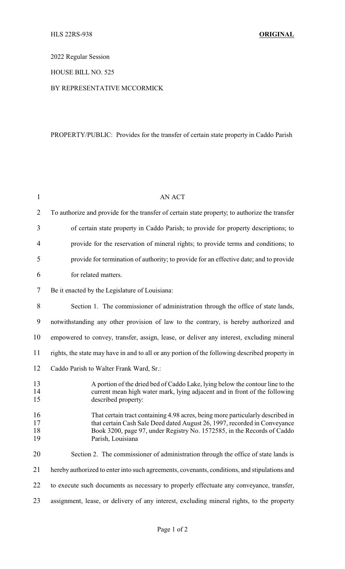2022 Regular Session

### HOUSE BILL NO. 525

### BY REPRESENTATIVE MCCORMICK

## PROPERTY/PUBLIC: Provides for the transfer of certain state property in Caddo Parish

| $\mathbf{1}$         | <b>AN ACT</b>                                                                                                                                                                                                                                               |
|----------------------|-------------------------------------------------------------------------------------------------------------------------------------------------------------------------------------------------------------------------------------------------------------|
| $\overline{2}$       | To authorize and provide for the transfer of certain state property, to authorize the transfer                                                                                                                                                              |
| 3                    | of certain state property in Caddo Parish; to provide for property descriptions; to                                                                                                                                                                         |
| 4                    | provide for the reservation of mineral rights; to provide terms and conditions; to                                                                                                                                                                          |
| 5                    | provide for termination of authority; to provide for an effective date; and to provide                                                                                                                                                                      |
| 6                    | for related matters.                                                                                                                                                                                                                                        |
| 7                    | Be it enacted by the Legislature of Louisiana:                                                                                                                                                                                                              |
| 8                    | Section 1. The commissioner of administration through the office of state lands,                                                                                                                                                                            |
| 9                    | notwithstanding any other provision of law to the contrary, is hereby authorized and                                                                                                                                                                        |
| 10                   | empowered to convey, transfer, assign, lease, or deliver any interest, excluding mineral                                                                                                                                                                    |
| 11                   | rights, the state may have in and to all or any portion of the following described property in                                                                                                                                                              |
| 12                   | Caddo Parish to Walter Frank Ward, Sr.:                                                                                                                                                                                                                     |
| 13<br>14<br>15       | A portion of the dried bed of Caddo Lake, lying below the contour line to the<br>current mean high water mark, lying adjacent and in front of the following<br>described property:                                                                          |
| 16<br>17<br>18<br>19 | That certain tract containing 4.98 acres, being more particularly described in<br>that certain Cash Sale Deed dated August 26, 1997, recorded in Conveyance<br>Book 3200, page 97, under Registry No. 1572585, in the Records of Caddo<br>Parish, Louisiana |
| 20                   | Section 2. The commissioner of administration through the office of state lands is                                                                                                                                                                          |
| 21                   | hereby authorized to enter into such agreements, covenants, conditions, and stipulations and                                                                                                                                                                |
| 22                   | to execute such documents as necessary to properly effectuate any conveyance, transfer,                                                                                                                                                                     |
| 23                   | assignment, lease, or delivery of any interest, excluding mineral rights, to the property                                                                                                                                                                   |